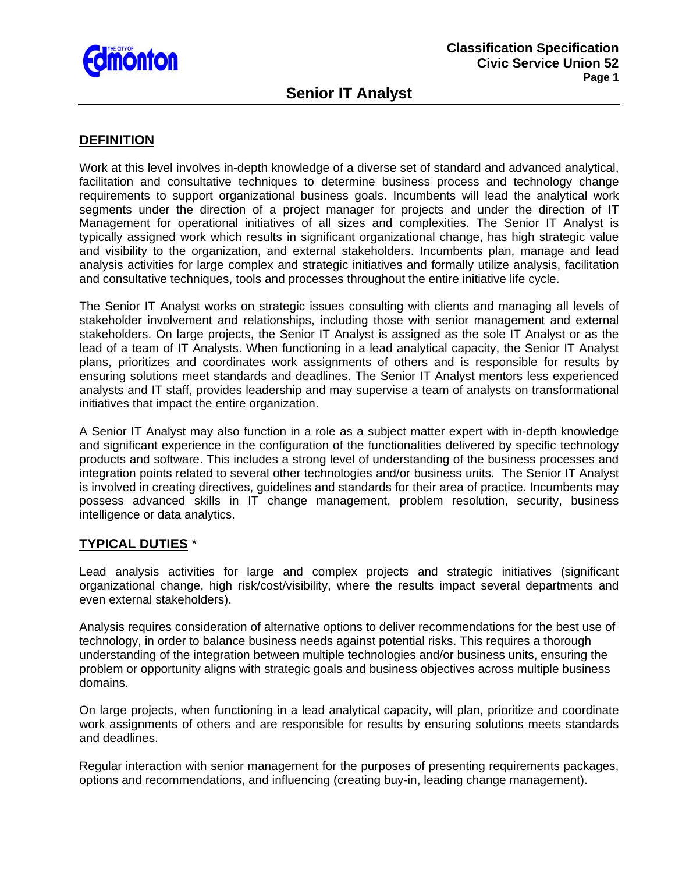

## **DEFINITION**

Work at this level involves in-depth knowledge of a diverse set of standard and advanced analytical, facilitation and consultative techniques to determine business process and technology change requirements to support organizational business goals. Incumbents will lead the analytical work segments under the direction of a project manager for projects and under the direction of IT Management for operational initiatives of all sizes and complexities. The Senior IT Analyst is typically assigned work which results in significant organizational change, has high strategic value and visibility to the organization, and external stakeholders. Incumbents plan, manage and lead analysis activities for large complex and strategic initiatives and formally utilize analysis, facilitation and consultative techniques, tools and processes throughout the entire initiative life cycle.

The Senior IT Analyst works on strategic issues consulting with clients and managing all levels of stakeholder involvement and relationships, including those with senior management and external stakeholders. On large projects, the Senior IT Analyst is assigned as the sole IT Analyst or as the lead of a team of IT Analysts. When functioning in a lead analytical capacity, the Senior IT Analyst plans, prioritizes and coordinates work assignments of others and is responsible for results by ensuring solutions meet standards and deadlines. The Senior IT Analyst mentors less experienced analysts and IT staff, provides leadership and may supervise a team of analysts on transformational initiatives that impact the entire organization.

A Senior IT Analyst may also function in a role as a subject matter expert with in-depth knowledge and significant experience in the configuration of the functionalities delivered by specific technology products and software. This includes a strong level of understanding of the business processes and integration points related to several other technologies and/or business units. The Senior IT Analyst is involved in creating directives, guidelines and standards for their area of practice. Incumbents may possess advanced skills in IT change management, problem resolution, security, business intelligence or data analytics.

## **TYPICAL DUTIES** \*

Lead analysis activities for large and complex projects and strategic initiatives (significant organizational change, high risk/cost/visibility, where the results impact several departments and even external stakeholders).

Analysis requires consideration of alternative options to deliver recommendations for the best use of technology, in order to balance business needs against potential risks. This requires a thorough understanding of the integration between multiple technologies and/or business units, ensuring the problem or opportunity aligns with strategic goals and business objectives across multiple business domains.

On large projects, when functioning in a lead analytical capacity, will plan, prioritize and coordinate work assignments of others and are responsible for results by ensuring solutions meets standards and deadlines.

Regular interaction with senior management for the purposes of presenting requirements packages, options and recommendations, and influencing (creating buy-in, leading change management).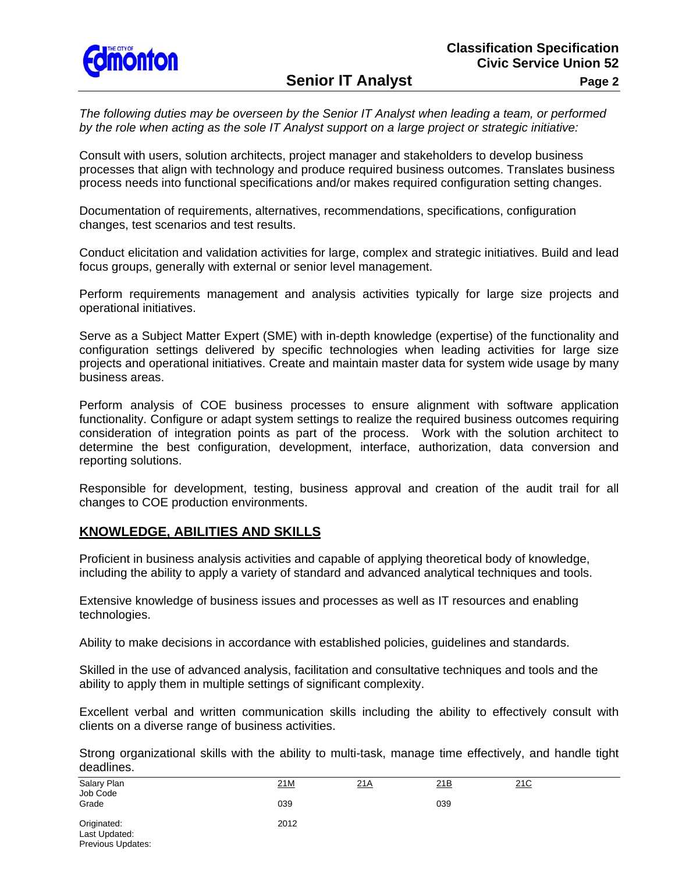

**Senior IT Analyst Page 2** 

*The following duties may be overseen by the Senior IT Analyst when leading a team, or performed by the role when acting as the sole IT Analyst support on a large project or strategic initiative:* 

Consult with users, solution architects, project manager and stakeholders to develop business processes that align with technology and produce required business outcomes. Translates business process needs into functional specifications and/or makes required configuration setting changes.

Documentation of requirements, alternatives, recommendations, specifications, configuration changes, test scenarios and test results.

Conduct elicitation and validation activities for large, complex and strategic initiatives. Build and lead focus groups, generally with external or senior level management.

Perform requirements management and analysis activities typically for large size projects and operational initiatives.

Serve as a Subject Matter Expert (SME) with in-depth knowledge (expertise) of the functionality and configuration settings delivered by specific technologies when leading activities for large size projects and operational initiatives. Create and maintain master data for system wide usage by many business areas.

Perform analysis of COE business processes to ensure alignment with software application functionality. Configure or adapt system settings to realize the required business outcomes requiring consideration of integration points as part of the process. Work with the solution architect to determine the best configuration, development, interface, authorization, data conversion and reporting solutions.

Responsible for development, testing, business approval and creation of the audit trail for all changes to COE production environments.

## **KNOWLEDGE, ABILITIES AND SKILLS**

Proficient in business analysis activities and capable of applying theoretical body of knowledge, including the ability to apply a variety of standard and advanced analytical techniques and tools.

Extensive knowledge of business issues and processes as well as IT resources and enabling technologies.

Ability to make decisions in accordance with established policies, guidelines and standards.

Skilled in the use of advanced analysis, facilitation and consultative techniques and tools and the ability to apply them in multiple settings of significant complexity.

Excellent verbal and written communication skills including the ability to effectively consult with clients on a diverse range of business activities.

Strong organizational skills with the ability to multi-task, manage time effectively, and handle tight deadlines.

| Salary Plan<br>Job Code                           | 21M  | <u>21A</u> | 21B | 21C |  |
|---------------------------------------------------|------|------------|-----|-----|--|
| Grade                                             | 039  |            | 039 |     |  |
| Originated:<br>Last Updated:<br>Previous Updates: | 2012 |            |     |     |  |